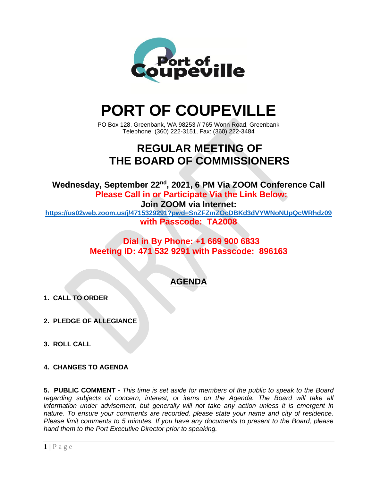

# **PORT OF COUPEVILLE**

PO Box 128, Greenbank, WA 98253 // 765 Wonn Road, Greenbank Telephone: (360) 222-3151, Fax: (360) 222-3484

# **REGULAR MEETING OF THE BOARD OF COMMISSIONERS**

Wednesday, September 22<sup>nd</sup>, 2021, 6 PM Via ZOOM Conference Call **Please Call in or Participate Via the Link Below:**

**Join ZOOM via Internet:**

**<https://us02web.zoom.us/j/4715329291?pwd=SnZFZmZOcDBKd3dVYWNoNUpQcWRhdz09> with Passcode: TA2008**

> **Dial in By Phone: +1 669 900 6833 Meeting ID: 471 532 9291 with Passcode: 896163**

# **AGENDA**

- **1. CALL TO ORDER**
- **2. PLEDGE OF ALLEGIANCE**
- **3. ROLL CALL**
- **4. CHANGES TO AGENDA**

**5. PUBLIC COMMENT -** *This time is set aside for members of the public to speak to the Board regarding subjects of concern, interest, or items on the Agenda. The Board will take all information under advisement, but generally will not take any action unless it is emergent in nature. To ensure your comments are recorded, please state your name and city of residence. Please limit comments to 5 minutes. If you have any documents to present to the Board, please hand them to the Port Executive Director prior to speaking.*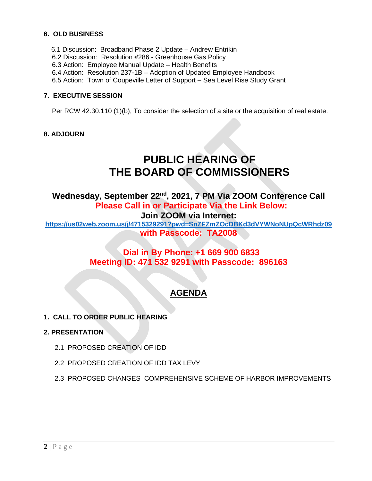## **6. OLD BUSINESS**

- 6.1 Discussion: Broadband Phase 2 Update Andrew Entrikin
- 6.2 Discussion: Resolution #286 Greenhouse Gas Policy
- 6.3 Action: Employee Manual Update Health Benefits
- 6.4 Action: Resolution 237-1B Adoption of Updated Employee Handbook
- 6.5 Action: Town of Coupeville Letter of Support Sea Level Rise Study Grant

#### **7. EXECUTIVE SESSION**

Per RCW 42.30.110 (1)(b), To consider the selection of a site or the acquisition of real estate.

#### **8. ADJOURN**

# **PUBLIC HEARING OF THE BOARD OF COMMISSIONERS**

Wednesday, September 22<sup>nd</sup>, 2021, 7 PM Via ZOOM Conference Call **Please Call in or Participate Via the Link Below: Join ZOOM via Internet:**

**<https://us02web.zoom.us/j/4715329291?pwd=SnZFZmZOcDBKd3dVYWNoNUpQcWRhdz09> with Passcode: TA2008**

## **Dial in By Phone: +1 669 900 6833 Meeting ID: 471 532 9291 with Passcode: 896163**

# **AGENDA**

**1. CALL TO ORDER PUBLIC HEARING**

#### **2. PRESENTATION**

- 2.1 PROPOSED CREATION OF IDD
- 2.2 PROPOSED CREATION OF IDD TAX LEVY
- 2.3 PROPOSED CHANGES COMPREHENSIVE SCHEME OF HARBOR IMPROVEMENTS